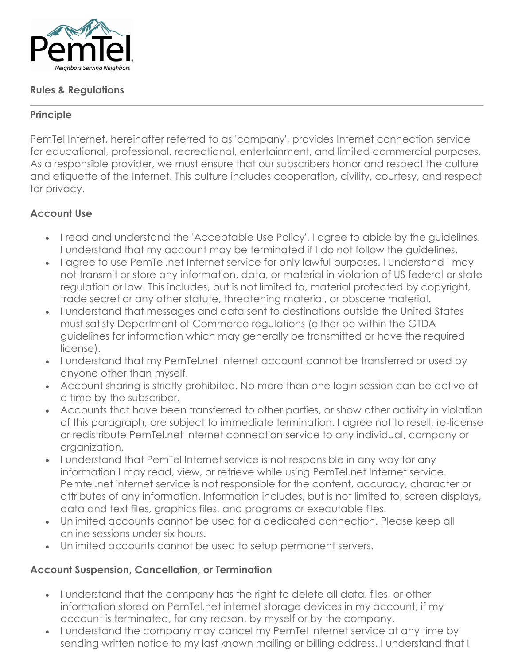

### **Rules & Regulations**

### **Principle**

PemTel Internet, hereinafter referred to as 'company', provides Internet connection service for educational, professional, recreational, entertainment, and limited commercial purposes. As a responsible provider, we must ensure that our subscribers honor and respect the culture and etiquette of the Internet. This culture includes cooperation, civility, courtesy, and respect for privacy.

# **Account Use**

- I read and understand the 'Acceptable Use Policy'. I agree to abide by the guidelines. I understand that my account may be terminated if I do not follow the guidelines.
- I agree to use PemTel.net Internet service for only lawful purposes. I understand I may not transmit or store any information, data, or material in violation of US federal or state regulation or law. This includes, but is not limited to, material protected by copyright, trade secret or any other statute, threatening material, or obscene material.
- I understand that messages and data sent to destinations outside the United States must satisfy Department of Commerce regulations (either be within the GTDA guidelines for information which may generally be transmitted or have the required license).
- I understand that my PemTel.net Internet account cannot be transferred or used by anyone other than myself.
- Account sharing is strictly prohibited. No more than one login session can be active at a time by the subscriber.
- Accounts that have been transferred to other parties, or show other activity in violation of this paragraph, are subject to immediate termination. I agree not to resell, re-license or redistribute PemTel.net Internet connection service to any individual, company or organization.
- I understand that PemTel Internet service is not responsible in any way for any information I may read, view, or retrieve while using PemTel.net Internet service. Pemtel.net internet service is not responsible for the content, accuracy, character or attributes of any information. Information includes, but is not limited to, screen displays, data and text files, graphics files, and programs or executable files.
- Unlimited accounts cannot be used for a dedicated connection. Please keep all online sessions under six hours.
- Unlimited accounts cannot be used to setup permanent servers.

# **Account Suspension, Cancellation, or Termination**

- I understand that the company has the right to delete all data, files, or other information stored on PemTel.net internet storage devices in my account, if my account is terminated, for any reason, by myself or by the company.
- I understand the company may cancel my PemTel Internet service at any time by sending written notice to my last known mailing or billing address. I understand that I